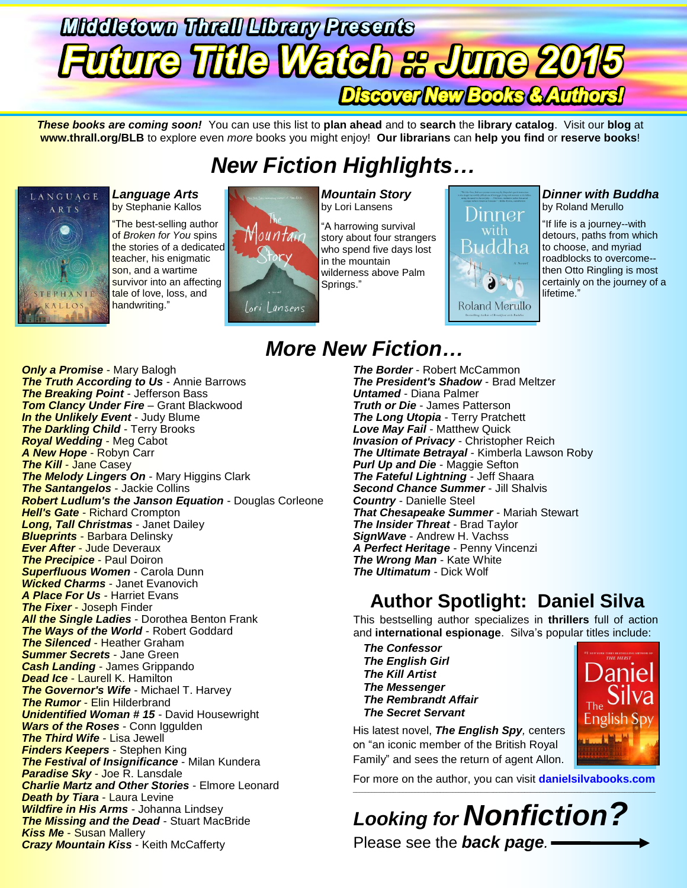# **Middletown Threll Librery Presents uture Title Watch s June 2015** Discover New Books & Authors!

*These books are coming soon!* You can use this list to **plan ahead** and to **search** the **library catalog**. Visit our **blog** at **www.thrall.org/BLB** to explore even *more* books you might enjoy! **Our librarians** can **help you find** or **reserve books**!

# *New Fiction Highlights…*



*Language Arts* by Stephanie Kallos

"The best-selling author of *Broken for You* spins the stories of a dedicated teacher, his enigmatic son, and a wartime survivor into an affecting tale of love, loss, and handwriting."



*Mountain Story* by Lori Lansens

"A harrowing survival story about four strangers who spend five days lost in the mountain wilderness above Palm Springs."



### *Dinner with Buddha*

by Roland Merullo

"If life is a journey--with detours, paths from which to choose, and myriad roadblocks to overcome- then Otto Ringling is most certainly on the journey of a lifetime."

**Janiel** 

English S

## *More New Fiction…*

*Only a Promise* - Mary Balogh *The Truth According to Us* - Annie Barrows *The Breaking Point* - Jefferson Bass *Tom Clancy Under Fire* – Grant Blackwood *In the Unlikely Event* - Judy Blume **The Darkling Child** - Terry Brooks *Royal Wedding* - Meg Cabot *A New Hope* - Robyn Carr *The Kill - Jane Casey The Melody Lingers On* - Mary Higgins Clark *The Santangelos* - Jackie Collins *Robert Ludlum's the Janson Equation* - Douglas Corleone *Hell's Gate* - Richard Crompton *Long, Tall Christmas* - Janet Dailey *Blueprints* - Barbara Delinsky *Ever After* - Jude Deveraux *The Precipice* - Paul Doiron *Superfluous Women* - Carola Dunn *Wicked Charms* - Janet Evanovich *A Place For Us* - Harriet Evans *The Fixer* - Joseph Finder *All the Single Ladies* - Dorothea Benton Frank *The Ways of the World* - Robert Goddard *The Silenced* - Heather Graham *Summer Secrets* - Jane Green *Cash Landing* - James Grippando **Dead Ice - Laurell K. Hamilton** *The Governor's Wife* - Michael T. Harvey *The Rumor* - Elin Hilderbrand *Unidentified Woman # 15* - David Housewright *Wars of the Roses* - Conn Iggulden *The Third Wife* - Lisa Jewell *Finders Keepers* - Stephen King *The Festival of Insignificance* - Milan Kundera *Paradise Sky* - Joe R. Lansdale *Charlie Martz and Other Stories* - Elmore Leonard *Death by Tiara* - Laura Levine *Wildfire in His Arms* - Johanna Lindsey *The Missing and the Dead* - Stuart MacBride *Kiss Me* - Susan Mallery *Crazy Mountain Kiss* - Keith McCafferty

*The Border* - Robert McCammon *The President's Shadow* - Brad Meltzer *Untamed* - Diana Palmer *Truth or Die* - James Patterson *The Long Utopia* - Terry Pratchett *Love May Fail* - Matthew Quick *Invasion of Privacy* - Christopher Reich *The Ultimate Betrayal* - Kimberla Lawson Roby *Purl Up and Die* - Maggie Sefton *The Fateful Lightning* - Jeff Shaara *Second Chance Summer* - Jill Shalvis *Country* - Danielle Steel *That Chesapeake Summer* - Mariah Stewart *The Insider Threat* - Brad Taylor *SignWave* - Andrew H. Vachss *A Perfect Heritage* - Penny Vincenzi *The Wrong Man* - Kate White *The Ultimatum* - Dick Wolf

## **Author Spotlight: Daniel Silva**

This bestselling author specializes in **thrillers** full of action and **international espionage**. Silva's popular titles include:

*The Confessor The English Girl The Kill Artist The Messenger The Rembrandt Affair The Secret Servant*

His latest novel, *The English Spy,* centers on "an iconic member of the British Royal Family" and sees the return of agent Allon.

For more on the author, you can visit **[danielsilvabooks.com](http://www.danielsilvabooks.com/)** \_\_\_\_\_\_\_\_\_\_\_\_\_\_\_\_\_\_\_\_\_\_\_\_\_\_\_\_\_\_\_\_\_\_\_\_\_\_\_\_\_\_\_\_\_\_\_\_\_\_\_\_\_\_\_\_\_\_\_\_\_\_\_\_\_\_\_\_\_\_\_\_\_\_\_\_\_\_\_\_\_\_\_\_\_\_\_\_\_\_\_\_\_\_\_\_\_

*Looking for Nonfiction?* Please see the *back page.*